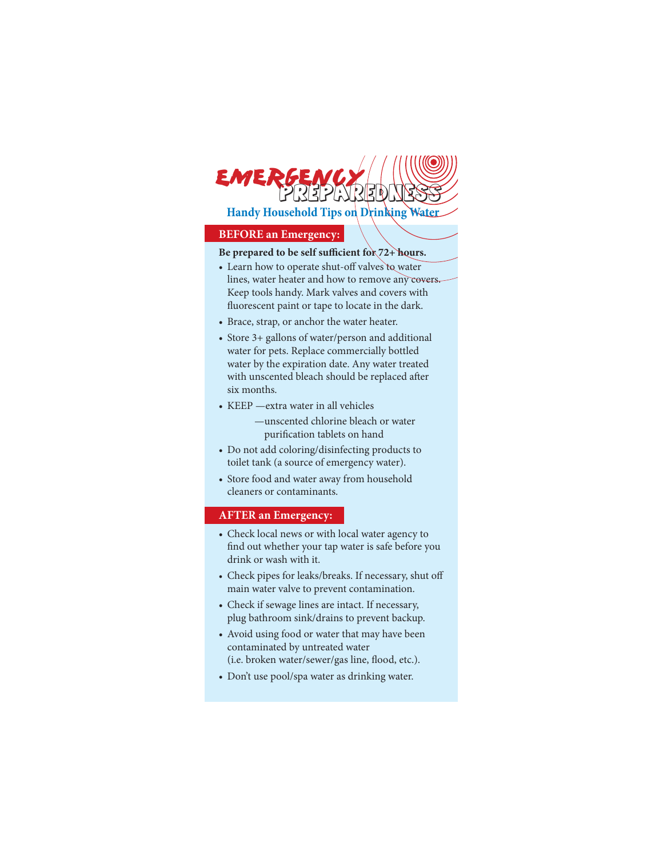**Handy Household Tips on Drinking Water**

**PEPEVRIEN** 

#### **BEFORE an Emergency:**

**EMERG** 

### Be prepared to be self sufficient for 72+ hours.

- Learn how to operate shut-off valves to water lines, water heater and how to remove any covers. Keep tools handy. Mark valves and covers with fluorescent paint or tape to locate in the dark.
- Brace, strap, or anchor the water heater.
- Store 3+ gallons of water/person and additional water for pets. Replace commercially bottled water by the expiration date. Any water treated with unscented bleach should be replaced after six months.
- KEEP —extra water in all vehicles
	- —unscented chlorine bleach or water purification tablets on hand
- Do not add coloring/disinfecting products to toilet tank (a source of emergency water).
- Store food and water away from household cleaners or contaminants.

### **AFTER an Emergency:**

- Check local news or with local water agency to find out whether your tap water is safe before you drink or wash with it.
- Check pipes for leaks/breaks. If necessary, shut off main water valve to prevent contamination.
- Check if sewage lines are intact. If necessary, plug bathroom sink/drains to prevent backup.
- Avoid using food or water that may have been contaminated by untreated water (i.e. broken water/sewer/gas line, flood, etc.).
- Don't use pool/spa water as drinking water.